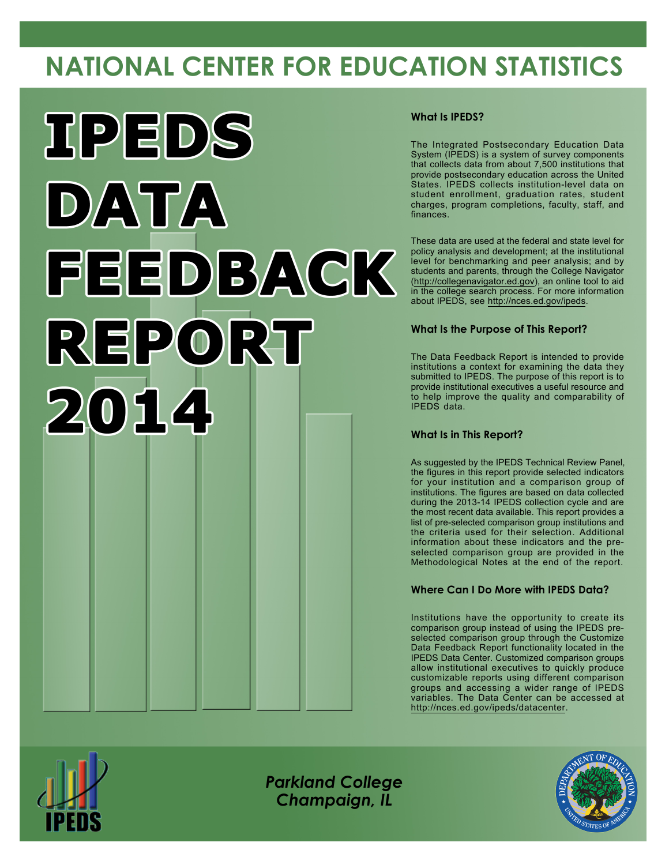# **NATIONAL CENTER FOR EDUCATION STATISTICS**



#### **What Is IPEDS?**

The Integrated Postsecondary Education Data System (IPEDS) is a system of survey components that collects data from about 7,500 institutions that provide postsecondary education across the United States. IPEDS collects institution-level data on student enrollment, graduation rates, student charges, program completions, faculty, staff, and finances.

These data are used at the federal and state level for policy analysis and development; at the institutional level for benchmarking and peer analysis; and by students and parents, through the College Navigator [\(http://collegenavigator.ed.gov](http://collegenavigator.ed.gov)), an online tool to aid in the college search process. For more information about IPEDS, see <http://nces.ed.gov/ipeds>.

#### **What Is the Purpose of This Report?**

The Data Feedback Report is intended to provide institutions a context for examining the data they submitted to IPEDS. The purpose of this report is to provide institutional executives a useful resource and to help improve the quality and comparability of IPEDS data.

#### **What Is in This Report?**

As suggested by the IPEDS Technical Review Panel, the figures in this report provide selected indicators for your institution and a comparison group of institutions. The figures are based on data collected during the 2013-14 IPEDS collection cycle and are the most recent data available. This report provides a list of pre-selected comparison group institutions and the criteria used for their selection. Additional information about these indicators and the preselected comparison group are provided in the Methodological Notes at the end of the report.

#### **Where Can I Do More with IPEDS Data?**

Institutions have the opportunity to create its comparison group instead of using the IPEDS preselected comparison group through the Customize Data Feedback Report functionality located in the IPEDS Data Center. Customized comparison groups allow institutional executives to quickly produce customizable reports using different comparison groups and accessing a wider range of IPEDS variables. The Data Center can be accessed at <http://nces.ed.gov/ipeds/datacenter>.



*Parkland College Champaign, IL*

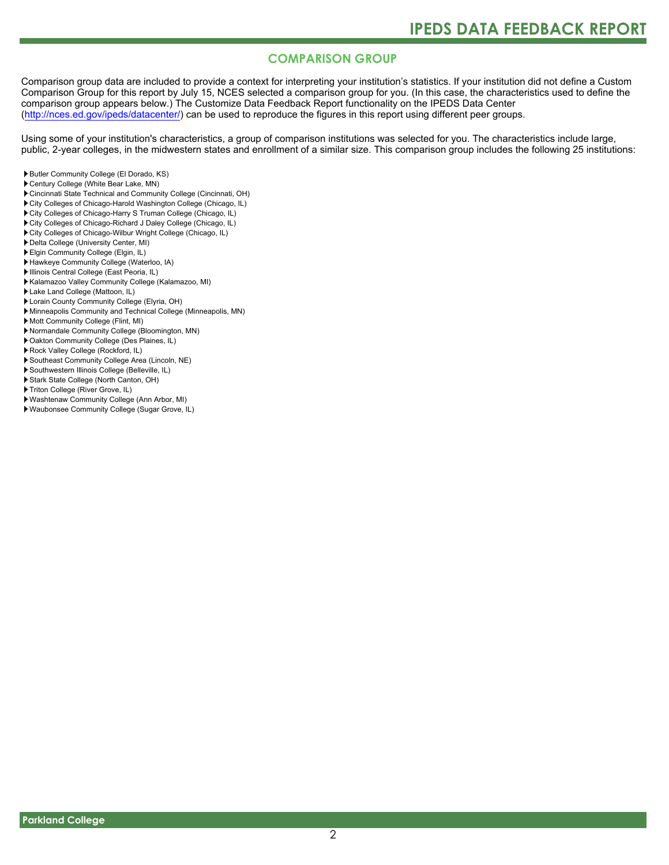### **COMPARISON GROUP**

Comparison group data are included to provide a context for interpreting your institution's statistics. If your institution did not define a Custom Comparison Group for this report by July 15, NCES selected a comparison group for you. (In this case, the characteristics used to define the comparison group appears below.) The Customize Data Feedback Report functionality on the IPEDS Data Center [\(http://nces.ed.gov/ipeds/datacenter/\)](http://nces.ed.gov/ipeds/datacenter/) can be used to reproduce the figures in this report using different peer groups.

Using some of your institution's characteristics, a group of comparison institutions was selected for you. The characteristics include large, public, 2-year colleges, in the midwestern states and enrollment of a similar size. This comparison group includes the following 25 institutions:

- Butler Community College (El Dorado, KS)
- Century College (White Bear Lake, MN)
- Cincinnati State Technical and Community College (Cincinnati, OH)
- ▶ City Colleges of Chicago-Harold Washington College (Chicago, IL)
- City Colleges of Chicago-Harry S Truman College (Chicago, IL)
- City Colleges of Chicago-Richard J Daley College (Chicago, IL)
- City Colleges of Chicago-Wilbur Wright College (Chicago, IL)
- Delta College (University Center, MI)
- Elgin Community College (Elgin, IL)
- Hawkeye Community College (Waterloo, IA)
- Illinois Central College (East Peoria, IL)
- Kalamazoo Valley Community College (Kalamazoo, MI)
- Lake Land College (Mattoon, IL)
- Lorain County Community College (Elyria, OH)
- Minneapolis Community and Technical College (Minneapolis, MN)
- Mott Community College (Flint, MI)
- Normandale Community College (Bloomington, MN)
- Oakton Community College (Des Plaines, IL)
- Rock Valley College (Rockford, IL)
- Southeast Community College Area (Lincoln, NE)
- Southwestern Illinois College (Belleville, IL)
- Stark State College (North Canton, OH)
- ▶ Triton College (River Grove, IL)
- Washtenaw Community College (Ann Arbor, MI)
- Waubonsee Community College (Sugar Grove, IL)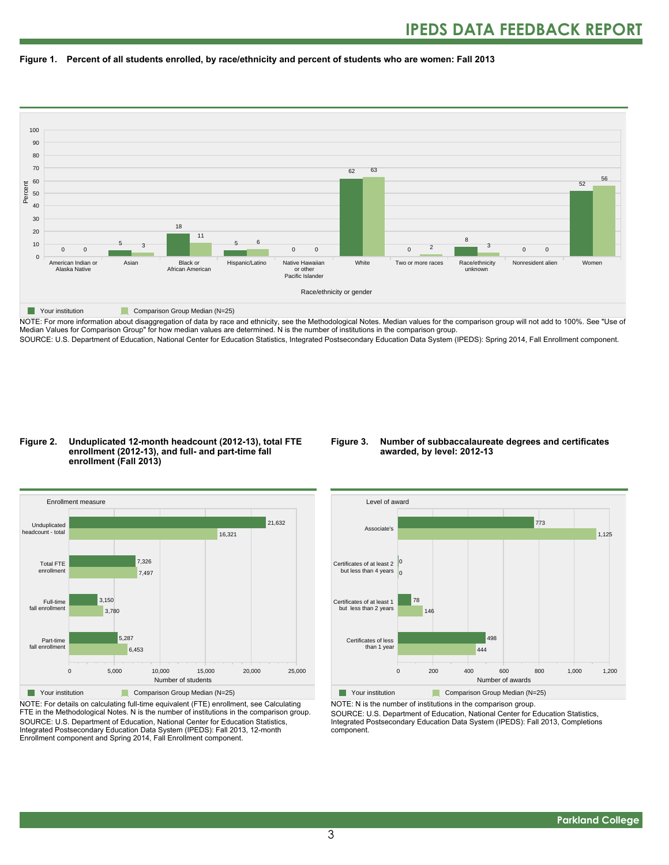



NOTE: For more information about disaggregation of data by race and ethnicity, see the Methodological Notes. Median values for the comparison group will not add to 100%. See "Use of Median Values for Comparison Group" for how median values are determined. N is the number of institutions in the comparison group. SOURCE: U.S. Department of Education, National Center for Education Statistics, Integrated Postsecondary Education Data System (IPEDS): Spring 2014, Fall Enrollment component.

#### **Figure 2. Unduplicated 12-month headcount (2012-13), total FTE enrollment (2012-13), and full- and part-time fall enrollment (Fall 2013)**

#### **Figure 3. Number of subbaccalaureate degrees and certificates awarded, by level: 2012-13**



NOTE: For details on calculating full-time equivalent (FTE) enrollment, see Calculating FTE in the Methodological Notes. N is the number of institutions in the comparison group. SOURCE: U.S. Department of Education, National Center for Education Statistics, Integrated Postsecondary Education Data System (IPEDS): Fall 2013, 12-month Enrollment component and Spring 2014, Fall Enrollment component.



Your institution Comparison Group Median (N=25) NOTE: N is the number of institutions in the comparison group. SOURCE: U.S. Department of Education, National Center for Education Statistics, Integrated Postsecondary Education Data System (IPEDS): Fall 2013, Completions component.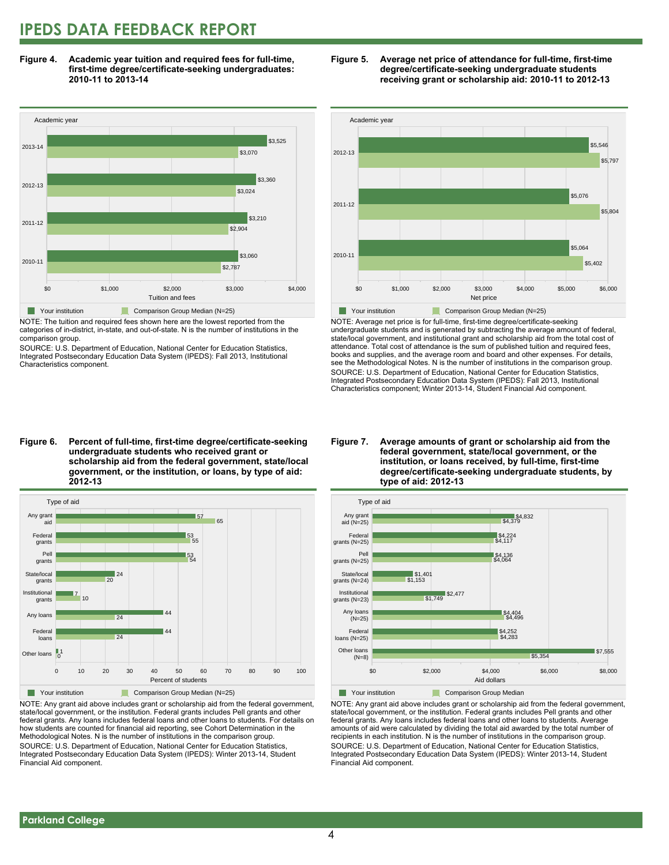### **IPEDS DATA FEEDBACK REPORT**

**Figure 4. Academic year tuition and required fees for full-time, first-time degree/certificate-seeking undergraduates: 2010-11 to 2013-14**



NOTE: The tuition and required fees shown here are the lowest reported from the categories of in-district, in-state, and out-of-state. N is the number of institutions in the comparison group.

SOURCE: U.S. Department of Education, National Center for Education Statistics, Integrated Postsecondary Education Data System (IPEDS): Fall 2013, Institutional Characteristics component.





NOTE: Average net price is for full-time, first-time degree/certificate-seeking undergraduate students and is generated by subtracting the average amount of federal, state/local government, and institutional grant and scholarship aid from the total cost of attendance. Total cost of attendance is the sum of published tuition and required fees, books and supplies, and the average room and board and other expenses. For details, see the Methodological Notes. N is the number of institutions in the comparison group. SOURCE: U.S. Department of Education, National Center for Education Statistics, Integrated Postsecondary Education Data System (IPEDS): Fall 2013, Institutional Characteristics component; Winter 2013-14, Student Financial Aid component.

#### **Figure 6. Percent of full-time, first-time degree/certificate-seeking undergraduate students who received grant or scholarship aid from the federal government, state/local government, or the institution, or loans, by type of aid: 2012-13**



NOTE: Any grant aid above includes grant or scholarship aid from the federal government, state/local government, or the institution. Federal grants includes Pell grants and other federal grants. Any loans includes federal loans and other loans to students. For details on how students are counted for financial aid reporting, see Cohort Determination in the Methodological Notes. N is the number of institutions in the comparison group. SOURCE: U.S. Department of Education, National Center for Education Statistics, Integrated Postsecondary Education Data System (IPEDS): Winter 2013-14, Student Financial Aid component.

#### **Figure 7. Average amounts of grant or scholarship aid from the federal government, state/local government, or the institution, or loans received, by full-time, first-time degree/certificate-seeking undergraduate students, by type of aid: 2012-13**



NOTE: Any grant aid above includes grant or scholarship aid from the federal government, state/local government, or the institution. Federal grants includes Pell grants and other federal grants. Any loans includes federal loans and other loans to students. Average amounts of aid were calculated by dividing the total aid awarded by the total number of recipients in each institution. N is the number of institutions in the comparison group. SOURCE: U.S. Department of Education, National Center for Education Statistics, Integrated Postsecondary Education Data System (IPEDS): Winter 2013-14, Student Financial Aid component.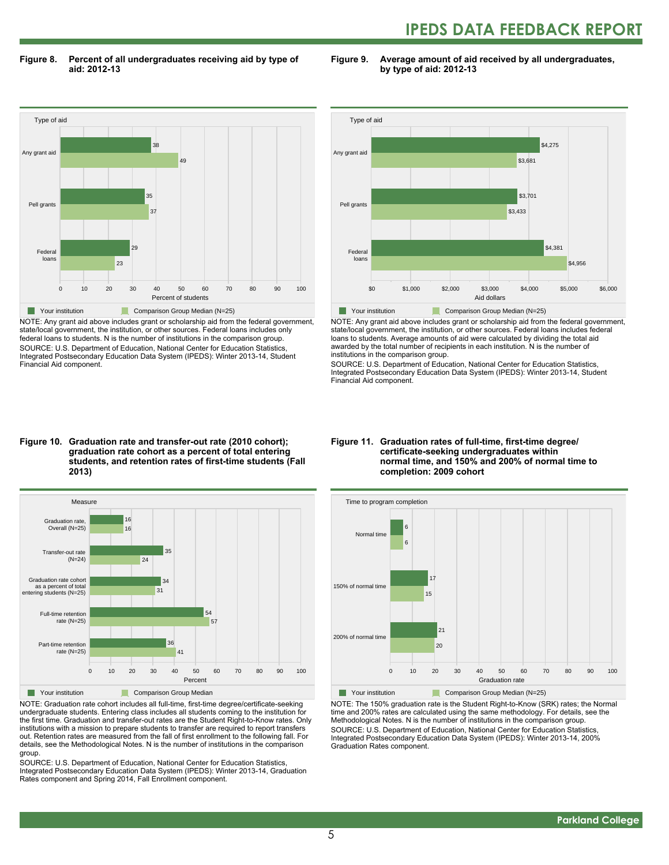## **IPEDS DATA FEEDBACK REPORT**

**Figure 8. Percent of all undergraduates receiving aid by type of aid: 2012-13**

**Figure 9. Average amount of aid received by all undergraduates, by type of aid: 2012-13**



NOTE: Any grant aid above includes grant or scholarship aid from the federal government, state/local government, the institution, or other sources. Federal loans includes only federal loans to students. N is the number of institutions in the comparison group. SOURCE: U.S. Department of Education, National Center for Education Statistics, Integrated Postsecondary Education Data System (IPEDS): Winter 2013-14, Student Financial Aid component.



NOTE: Any grant aid above includes grant or scholarship aid from the federal government, state/local government, the institution, or other sources. Federal loans includes federal loans to students. Average amounts of aid were calculated by dividing the total aid awarded by the total number of recipients in each institution. N is the number of institutions in the comparison group.

SOURCE: U.S. Department of Education, National Center for Education Statistics, Integrated Postsecondary Education Data System (IPEDS): Winter 2013-14, Student Financial Aid component.

#### **Figure 10. Graduation rate and transfer-out rate (2010 cohort); graduation rate cohort as a percent of total entering students, and retention rates of first-time students (Fall 2013)**



NOTE: Graduation rate cohort includes all full-time, first-time degree/certificate-seeking undergraduate students. Entering class includes all students coming to the institution for the first time. Graduation and transfer-out rates are the Student Right-to-Know rates. Only institutions with a mission to prepare students to transfer are required to report transfers out. Retention rates are measured from the fall of first enrollment to the following fall. For details, see the Methodological Notes. N is the number of institutions in the comparison group.

SOURCE: U.S. Department of Education, National Center for Education Statistics, Integrated Postsecondary Education Data System (IPEDS): Winter 2013-14, Graduation Rates component and Spring 2014, Fall Enrollment component.

#### **Figure 11. Graduation rates of full-time, first-time degree/ certificate-seeking undergraduates within normal time, and 150% and 200% of normal time to completion: 2009 cohort**



NOTE: The 150% graduation rate is the Student Right-to-Know (SRK) rates; the Normal time and 200% rates are calculated using the same methodology. For details, see the Methodological Notes. N is the number of institutions in the comparison group. SOURCE: U.S. Department of Education, National Center for Education Statistics, Integrated Postsecondary Education Data System (IPEDS): Winter 2013-14, 200% Graduation Rates component.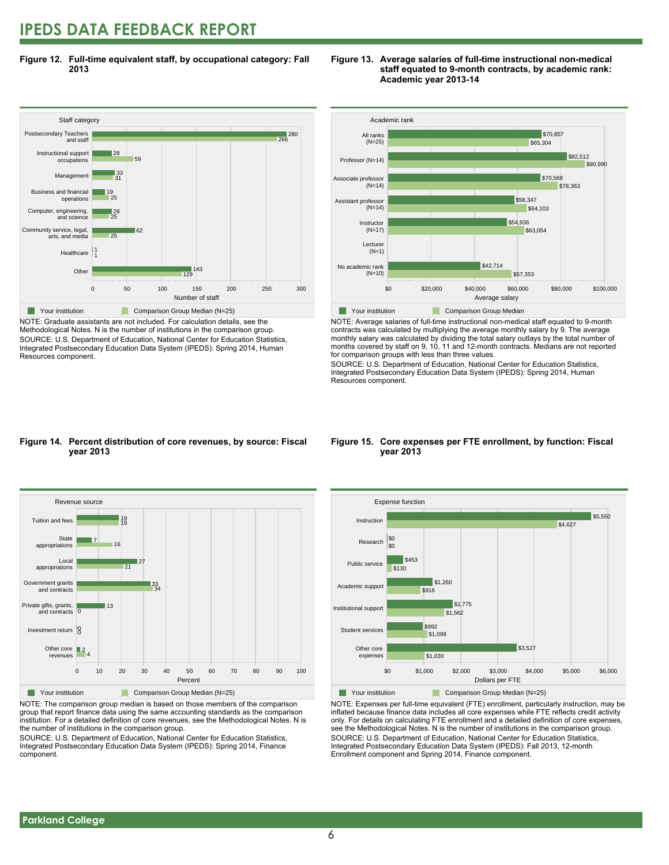### **IPEDS DATA FEEDBACK REPORT**

**Figure 12. Full-time equivalent staff, by occupational category: Fall 2013**



NOTE: Graduate assistants are not included. For calculation details, see the Methodological Notes. N is the number of institutions in the comparison group. SOURCE: U.S. Department of Education, National Center for Education Statistics, Integrated Postsecondary Education Data System (IPEDS): Spring 2014, Human Resources component.





NOTE: Average salaries of full-time instructional non-medical staff equated to 9-month contracts was calculated by multiplying the average monthly salary by 9. The average monthly salary was calculated by dividing the total salary outlays by the total number of months covered by staff on 9, 10, 11 and 12-month contracts. Medians are not reported for comparison groups with less than three values.

SOURCE: U.S. Department of Education, National Center for Education Statistics, Integrated Postsecondary Education Data System (IPEDS): Spring 2014, Human Resources component.

#### **Figure 14. Percent distribution of core revenues, by source: Fiscal year 2013**



NOTE: The comparison group median is based on those members of the comparison group that report finance data using the same accounting standards as the comparison institution. For a detailed definition of core revenues, see the Methodological Notes. N is the number of institutions in the comparison group.

SOURCE: U.S. Department of Education, National Center for Education Statistics, Integrated Postsecondary Education Data System (IPEDS): Spring 2014, Finance component.

#### **Figure 15. Core expenses per FTE enrollment, by function: Fiscal year 2013**



NOTE: Expenses per full-time equivalent (FTE) enrollment, particularly instruction, may be inflated because finance data includes all core expenses while FTE reflects credit activity only. For details on calculating FTE enrollment and a detailed definition of core expenses, see the Methodological Notes. N is the number of institutions in the comparison group. SOURCE: U.S. Department of Education, National Center for Education Statistics, Integrated Postsecondary Education Data System (IPEDS): Fall 2013, 12-month Enrollment component and Spring 2014, Finance component.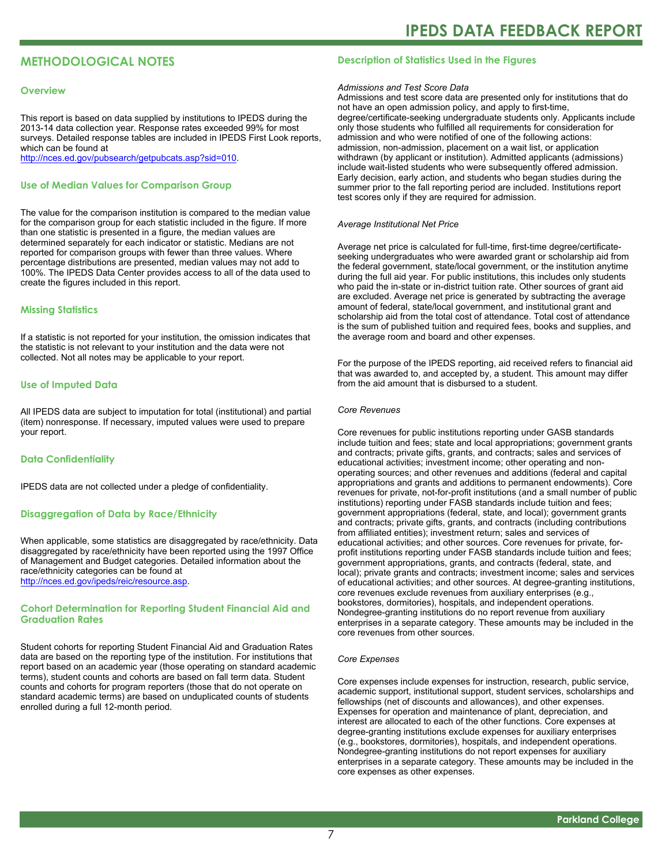#### **METHODOLOGICAL NOTES**

#### **Overview**

This report is based on data supplied by institutions to IPEDS during the 2013-14 data collection year. Response rates exceeded 99% for most surveys. Detailed response tables are included in IPEDS First Look reports, which can be found at [http://nces.ed.gov/pubsearch/getpubcats.asp?sid=010.](http://nces.ed.gov/pubsearch/getpubcats.asp?sid=010)

#### **Use of Median Values for Comparison Group**

The value for the comparison institution is compared to the median value for the comparison group for each statistic included in the figure. If more than one statistic is presented in a figure, the median values are determined separately for each indicator or statistic. Medians are not reported for comparison groups with fewer than three values. Where percentage distributions are presented, median values may not add to 100%. The IPEDS Data Center provides access to all of the data used to create the figures included in this report.

#### **Missing Statistics**

If a statistic is not reported for your institution, the omission indicates that the statistic is not relevant to your institution and the data were not collected. Not all notes may be applicable to your report.

#### **Use of Imputed Data**

All IPEDS data are subject to imputation for total (institutional) and partial (item) nonresponse. If necessary, imputed values were used to prepare your report.

#### **Data Confidentiality**

IPEDS data are not collected under a pledge of confidentiality.

#### **Disaggregation of Data by Race/Ethnicity**

When applicable, some statistics are disaggregated by race/ethnicity. Data disaggregated by race/ethnicity have been reported using the 1997 Office of Management and Budget categories. Detailed information about the race/ethnicity categories can be found at <http://nces.ed.gov/ipeds/reic/resource.asp>.

#### **Cohort Determination for Reporting Student Financial Aid and Graduation Rates**

Student cohorts for reporting Student Financial Aid and Graduation Rates data are based on the reporting type of the institution. For institutions that report based on an academic year (those operating on standard academic terms), student counts and cohorts are based on fall term data. Student counts and cohorts for program reporters (those that do not operate on standard academic terms) are based on unduplicated counts of students enrolled during a full 12-month period.

#### **Description of Statistics Used in the Figures**

#### *Admissions and Test Score Data*

Admissions and test score data are presented only for institutions that do not have an open admission policy, and apply to first-time, degree/certificate-seeking undergraduate students only. Applicants include only those students who fulfilled all requirements for consideration for admission and who were notified of one of the following actions: admission, non-admission, placement on a wait list, or application withdrawn (by applicant or institution). Admitted applicants (admissions) include wait-listed students who were subsequently offered admission. Early decision, early action, and students who began studies during the summer prior to the fall reporting period are included. Institutions report test scores only if they are required for admission.

#### *Average Institutional Net Price*

Average net price is calculated for full-time, first-time degree/certificateseeking undergraduates who were awarded grant or scholarship aid from the federal government, state/local government, or the institution anytime during the full aid year. For public institutions, this includes only students who paid the in-state or in-district tuition rate. Other sources of grant aid are excluded. Average net price is generated by subtracting the average amount of federal, state/local government, and institutional grant and scholarship aid from the total cost of attendance. Total cost of attendance is the sum of published tuition and required fees, books and supplies, and the average room and board and other expenses.

For the purpose of the IPEDS reporting, aid received refers to financial aid that was awarded to, and accepted by, a student. This amount may differ from the aid amount that is disbursed to a student.

#### *Core Revenues*

Core revenues for public institutions reporting under GASB standards include tuition and fees; state and local appropriations; government grants and contracts; private gifts, grants, and contracts; sales and services of educational activities; investment income; other operating and nonoperating sources; and other revenues and additions (federal and capital appropriations and grants and additions to permanent endowments). Core revenues for private, not-for-profit institutions (and a small number of public institutions) reporting under FASB standards include tuition and fees; government appropriations (federal, state, and local); government grants and contracts; private gifts, grants, and contracts (including contributions from affiliated entities); investment return; sales and services of educational activities; and other sources. Core revenues for private, forprofit institutions reporting under FASB standards include tuition and fees; government appropriations, grants, and contracts (federal, state, and local); private grants and contracts; investment income; sales and services of educational activities; and other sources. At degree-granting institutions, core revenues exclude revenues from auxiliary enterprises (e.g., bookstores, dormitories), hospitals, and independent operations. Nondegree-granting institutions do no report revenue from auxiliary enterprises in a separate category. These amounts may be included in the core revenues from other sources.

#### *Core Expenses*

Core expenses include expenses for instruction, research, public service, academic support, institutional support, student services, scholarships and fellowships (net of discounts and allowances), and other expenses. Expenses for operation and maintenance of plant, depreciation, and interest are allocated to each of the other functions. Core expenses at degree-granting institutions exclude expenses for auxiliary enterprises (e.g., bookstores, dormitories), hospitals, and independent operations. Nondegree-granting institutions do not report expenses for auxiliary enterprises in a separate category. These amounts may be included in the core expenses as other expenses.